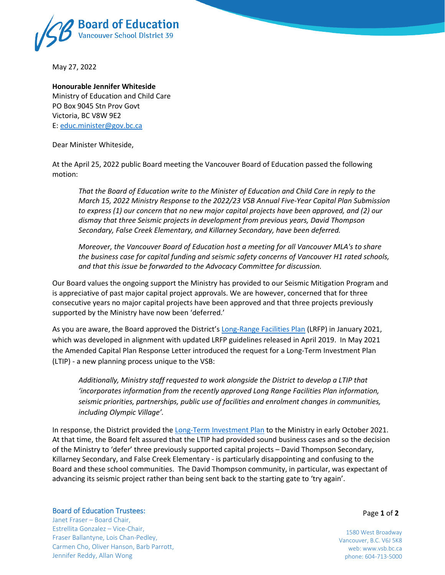

May 27, 2022

## **Honourable Jennifer Whiteside** Ministry of Education and Child Care PO Box 9045 Stn Prov Govt Victoria, BC V8W 9E2 E: [educ.minister@gov.bc.ca](mailto:educ.minister@gov.bc.ca)

Dear Minister Whiteside,

At the April 25, 2022 public Board meeting the Vancouver Board of Education passed the following motion:

*That the Board of Education write to the Minister of Education and Child Care in reply to the March 15, 2022 Ministry Response to the 2022/23 VSB Annual Five-Year Capital Plan Submission to express (1) our concern that no new major capital projects have been approved, and (2) our dismay that three Seismic projects in development from previous years, David Thompson Secondary, False Creek Elementary, and Killarney Secondary, have been deferred.*

*Moreover, the Vancouver Board of Education host a meeting for all Vancouver MLA's to share the business case for capital funding and seismic safety concerns of Vancouver H1 rated schools, and that this issue be forwarded to the Advocacy Committee for discussion.*

Our Board values the ongoing support the Ministry has provided to our Seismic Mitigation Program and is appreciative of past major capital project approvals. We are however, concerned that for three consecutive years no major capital projects have been approved and that three projects previously supported by the Ministry have now been 'deferred.'

As you are aware, the Board approved the District's [Long-Range Facilities Plan](https://www.vsb.bc.ca/District/Planning_and_Facilities/Long_Range_Facilities_Plan/Pages/Current-LRFP.aspx) (LRFP) in January 2021, which was developed in alignment with updated LRFP guidelines released in April 2019. In May 2021 the Amended Capital Plan Response Letter introduced the request for a Long-Term Investment Plan (LTIP) - a new planning process unique to the VSB:

*Additionally, Ministry staff requested to work alongside the District to develop a LTIP that 'incorporates information from the recently approved Long Range Facilities Plan information, seismic priorities, partnerships, public use of facilities and enrolment changes in communities, including Olympic Village'.*

In response, the District provided th[e Long-Term Investment Plan](https://www.vsb.bc.ca/District/Planning_and_Facilities/Planning_Studies/Documents/sbfile/Long%20Term%20Investment%20Plan/2021%2010%2006%201.1%20LTIP_with%20attachment.pdf) to the Ministry in early October 2021. At that time, the Board felt assured that the LTIP had provided sound business cases and so the decision of the Ministry to 'defer' three previously supported capital projects – David Thompson Secondary, Killarney Secondary, and False Creek Elementary - is particularly disappointing and confusing to the Board and these school communities. The David Thompson community, in particular, was expectant of advancing its seismic project rather than being sent back to the starting gate to 'try again'.

## Board of Education Trustees:

Janet Fraser – Board Chair, Estrellita Gonzalez – Vice-Chair, Fraser Ballantyne, Lois Chan-Pedley, Carmen Cho, Oliver Hanson, Barb Parrott, Jennifer Reddy, Allan Wong

Page **1** of **2**

1580 West Broadway Vancouver, B.C. V6J 5K8 web: www.vsb.bc.ca phone: 604-713-5000